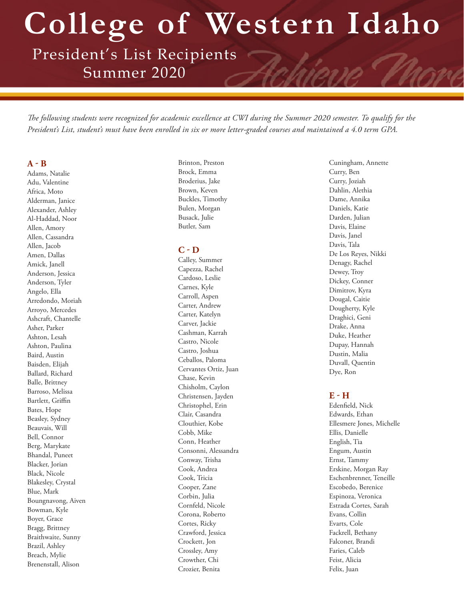**College of Western Idaho**

President's List Recipients Summer 2020

*The following students were recognized for academic excellence at CWI during the Summer 2020 semester. To qualify for the President's List, student's must have been enrolled in six or more letter-graded courses and maintained a 4.0 term GPA.* 

#### **A - B**

Adams, Natalie Adu, Valentine Africa, Moto Alderman, Janice Alexander, Ashley Al-Haddad, Noor Allen, Amory Allen, Cassandra Allen, Jacob Amen, Dallas Amick, Janell Anderson, Jessica Anderson, Tyler Angelo, Ella Arredondo, Moriah Arroyo, Mercedes Ashcraft, Chantelle Asher, Parker Ashton, Lesah Ashton, Paulina Baird, Austin Baisden, Elijah Ballard, Richard Balle, Brittney Barroso, Melissa Bartlett, Griffin Bates, Hope Beasley, Sydney Beauvais, Will Bell, Connor Berg, Marykate Bhandal, Puneet Blacker, Jorian Black, Nicole Blakesley, Crystal Blue, Mark Boungnavong, Aiven Bowman, Kyle Boyer, Grace Bragg, Brittney Braithwaite, Sunny Brazil, Ashley Breach, Mylie Brenenstall, Alison

Brinton, Preston Brock, Emma Broderius, Jake Brown, Keven Buckles, Timothy Bulen, Morgan Busack, Julie Butler, Sam

#### **C - D**

Calley, Summer Capezza, Rachel Cardoso, Leslie Carnes, Kyle Carroll, Aspen Carter, Andrew Carter, Katelyn Carver, Jackie Cashman, Karrah Castro, Nicole Castro, Joshua Ceballos, Paloma Cervantes Ortiz, Juan Chase, Kevin Chisholm, Caylon Christensen, Jayden Christophel, Erin Clair, Casandra Clouthier, Kobe Cobb, Mike Conn, Heather Consonni, Alessandra Conway, Trisha Cook, Andrea Cook, Tricia Cooper, Zane Corbin, Julia Cornfeld, Nicole Corona, Roberto Cortes, Ricky Crawford, Jessica Crockett, Jon Crossley, Amy Crowther, Chi Crozier, Benita

Cuningham, Annette Curry, Ben Curry, Joziah Dahlin, Alethia Dame, Annika Daniels, Katie Darden, Julian Davis, Elaine Davis, Janel Davis, Tala De Los Reyes, Nikki Denagy, Rachel Dewey, Troy Dickey, Conner Dimitrov, Kyra Dougal, Caitie Dougherty, Kyle Draghici, Geni Drake, Anna Duke, Heather Dupay, Hannah Dustin, Malia Duvall, Quentin Dye, Ron

# **E - H**

Edenfield, Nick Edwards, Ethan Ellesmere Jones, Michelle Ellis, Danielle English, Tia Engum, Austin Ernst, Tammy Erskine, Morgan Ray Eschenbrenner, Teneille Escobedo, Berenice Espinoza, Veronica Estrada Cortes, Sarah Evans, Collin Evarts, Cole Fackrell, Bethany Falconer, Brandi Faries, Caleb Feist, Alicia Felix, Juan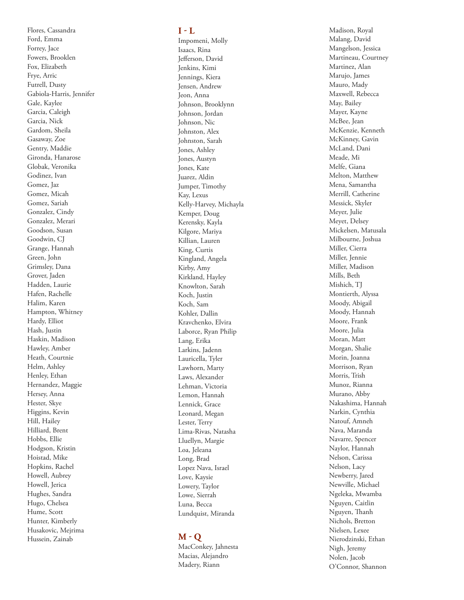Flores, Cassandra Ford, Emma Forrey, Jace Fowers, Brooklen Fox, Elizabeth Frye, Arric Futrell, Dusty Gabiola-Harris, Jennifer Gale, Kaylee Garcia, Caleigh Garcia, Nick Gardom, Sheila Gasaway, Zoe Gentry, Maddie Gironda, Hanarose Globak, Veronika Godinez, Ivan Gomez, Jaz Gomez, Micah Gomez, Sariah Gonzalez, Cindy Gonzalez, Merari Goodson, Susan Goodwin, CJ Grange, Hannah Green, John Grimsley, Dana Grover, Jaden Hadden, Laurie Hafen, Rachelle Halim, Karen Hampton, Whitney Hardy, Elliot Hash, Justin Haskin, Madison Hawley, Amber Heath, Courtnie Helm, Ashley Henley, Ethan Hernandez, Maggie Hersey, Anna Hester, Skye Higgins, Kevin Hill, Hailey Hilliard, Brent Hobbs, Ellie Hodgson, Kristin Hoistad, Mike Hopkins, Rachel Howell, Aubrey Howell, Jerica Hughes, Sandra Hugo, Chelsea Hume, Scott Hunter, Kimberly Husakovic, Mejrima Hussein, Zainab

## **I - L**

Impomeni, Molly Isaacs, Rina Jefferson, David Jenkins, Kimi Jennings, Kiera Jensen, Andrew Jeon, Anna Johnson, Brooklynn Johnson, Jordan Johnson, Nic Johnston, Alex Johnston, Sarah Jones, Ashley Jones, Austyn Jones, Kate Juarez, Aldin Jumper, Timothy Kay, Lexus Kelly-Harvey, Michayla Kemper, Doug Kerensky, Kayla Kilgore, Mariya Killian, Lauren King, Curtis Kingland, Angela Kirby, Amy Kirkland, Hayley Knowlton, Sarah Koch, Justin Koch, Sam Kohler, Dallin Kravchenko, Elvira Laborce, Ryan Philip Lang, Erika Larkins, Jadenn Lauricella, Tyler Lawhorn, Marty Laws, Alexander Lehman, Victoria Lemon, Hannah Lennick, Grace Leonard, Megan Lester, Terry Lima-Rivas, Natasha Lluellyn, Margie Loa, Jeleana Long, Brad Lopez Nava, Israel Love, Kaysie Lowery, Taylor Lowe, Sierrah Luna, Becca Lundquist, Miranda

## **M - Q**

MacConkey, Jahnesta Macias, Alejandro Madery, Riann

Madison, Royal Malang, David Mangelson, Jessica Martineau, Courtney Martinez, Alan Marujo, James Mauro, Mady Maxwell, Rebecca May, Bailey Mayer, Kayne McBee, Jean McKenzie, Kenneth McKinney, Gavin McLand, Dani Meade, Mi Melfe, Giana Melton, Matthew Mena, Samantha Merrill, Catherine Messick, Skyler Meyer, Julie Meyet, Delsey Mickelsen, Matusala Milbourne, Joshua Miller, Cierra Miller, Jennie Miller, Madison Mills, Beth Mishich, TJ Montierth, Alyssa Moody, Abigail Moody, Hannah Moore, Frank Moore, Julia Moran, Matt Morgan, Shalie Morin, Joanna Morrison, Ryan Morris, Trish Munoz, Rianna Murano, Abby Nakashima, Hannah Narkin, Cynthia Natouf, Amneh Nava, Maranda Navarre, Spencer Naylor, Hannah Nelson, Carissa Nelson, Lacy Newberry, Jared Newville, Michael Ngeleka, Mwamba Nguyen, Caitlin Nguyen, Thanh Nichols, Bretton Nielsen, Lexee Nierodzinski, Ethan Nigh, Jeremy Nolen, Jacob O'Connor, Shannon